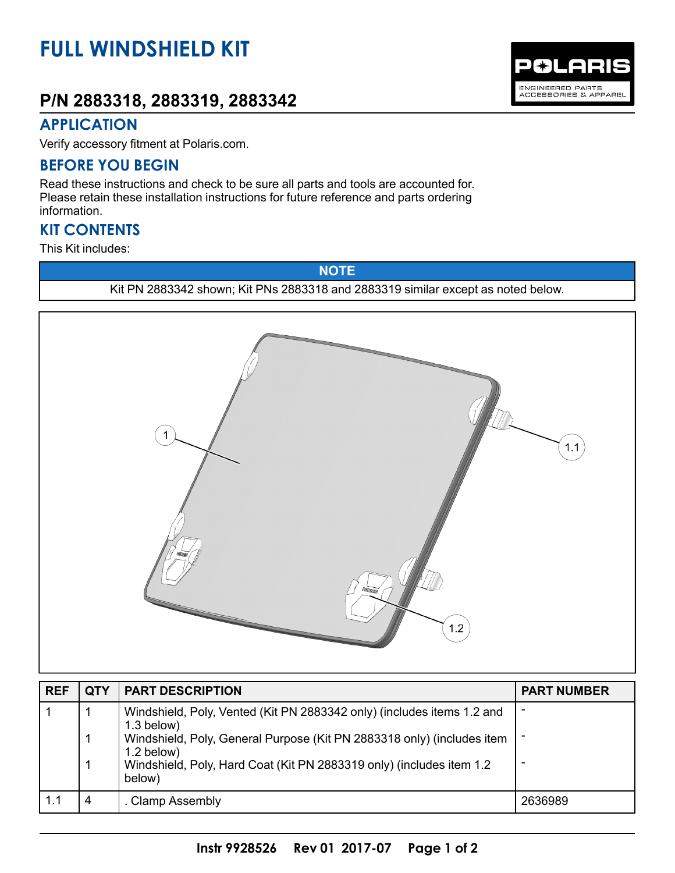# **FULL WINDSHIELD KIT**

## **P/N 2883318, 2883319, 2883342**



#### **APPLICATION**

Verify accessory fitment at Polaris.com.

#### **BEFORE YOU BEGIN**

Read these instructions and check to be sure all parts and tools are accounted for. Please retain these installation instructions for future reference and parts ordering information.

#### **KIT CONTENTS**

This Kit includes:

**NOTE** Kit PN 2883342 shown; Kit PNs 2883318 and 2883319 similar except as noted below.